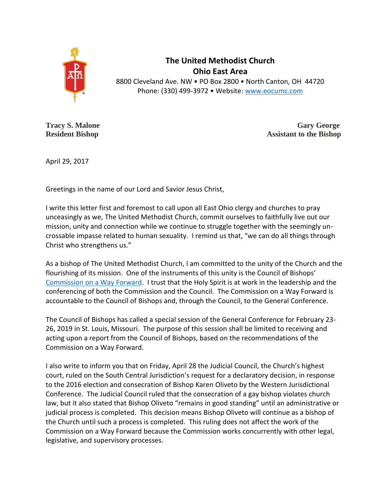

**The United Methodist Church Ohio East Area** 8800 Cleveland Ave. NW • PO Box 2800 • North Canton, OH 44720 Phone: (330) 499-3972 • Website: [www.eocumc.com](http://www.eocumc.com/)

**Tracy S. Malone Gary George Resident Bishop Assistant to the Bishop Assistant to the Bishop** 

April 29, 2017

Greetings in the name of our Lord and Savior Jesus Christ,

I write this letter first and foremost to call upon all East Ohio clergy and churches to pray unceasingly as we, The United Methodist Church, commit ourselves to faithfully live out our mission, unity and connection while we continue to struggle together with the seemingly uncrossable impasse related to human sexuality. I remind us that, "we can do all things through Christ who strengthens us."

As a bishop of The United Methodist Church, I am committed to the unity of the Church and the flourishing of its mission. One of the instruments of this unity is the Council of Bishops' [Commission on a Way Forward.](http://www.umc.org/who-we-are/commission-on-a-way-forward) I trust that the Holy Spirit is at work in the leadership and the conferencing of both the Commission and the Council. The Commission on a Way Forward is accountable to the Council of Bishops and, through the Council, to the General Conference.

The Council of Bishops has called a special session of the General Conference for February 23- 26, 2019 in St. Louis, Missouri. The purpose of this session shall be limited to receiving and acting upon a report from the Council of Bishops, based on the recommendations of the Commission on a Way Forward.

I also write to inform you that on Friday, April 28 the Judicial Council, the Church's highest court, ruled on the South Central Jurisdiction's request for a declaratory decision, in response to the 2016 election and consecration of Bishop Karen Oliveto by the Western Jurisdictional Conference. The Judicial Council ruled that the consecration of a gay bishop violates church law, but it also stated that Bishop Oliveto "remains in good standing" until an administrative or judicial process is completed. This decision means Bishop Oliveto will continue as a bishop of the Church until such a process is completed. This ruling does not affect the work of the Commission on a Way Forward because the Commission works concurrently with other legal, legislative, and supervisory processes.